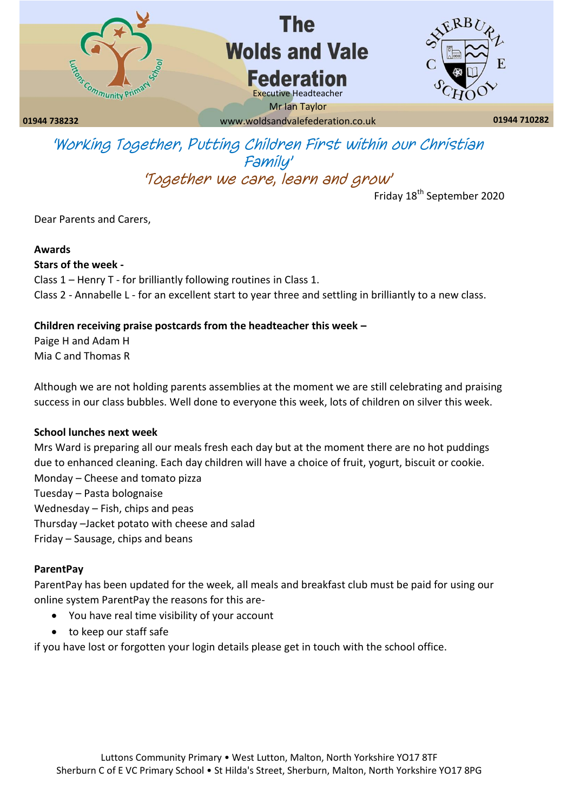

# The **Wolds and Vale Federation**



**01944 738232 01944 710282** www.woldsandvalefederation.co.uk Executive Headteacher Mr Ian Taylor

## *'Working Together, Putting Children First within our Christian Family' 'Together we care, learn and grow'*

Friday 18<sup>th</sup> September 2020

Dear Parents and Carers,

#### **Awards**

**Stars of the week -** Class 1 – Henry T - for brilliantly following routines in Class 1. Class 2 - Annabelle L - for an excellent start to year three and settling in brilliantly to a new class.

### **Children receiving praise postcards from the headteacher this week –**

Paige H and Adam H Mia C and Thomas R

Although we are not holding parents assemblies at the moment we are still celebrating and praising success in our class bubbles. Well done to everyone this week, lots of children on silver this week.

#### **School lunches next week**

Mrs Ward is preparing all our meals fresh each day but at the moment there are no hot puddings due to enhanced cleaning. Each day children will have a choice of fruit, yogurt, biscuit or cookie. Monday – Cheese and tomato pizza Tuesday – Pasta bolognaise Wednesday – Fish, chips and peas Thursday –Jacket potato with cheese and salad Friday – Sausage, chips and beans

#### **ParentPay**

ParentPay has been updated for the week, all meals and breakfast club must be paid for using our online system ParentPay the reasons for this are-

- You have real time visibility of your account
- to keep our staff safe

if you have lost or forgotten your login details please get in touch with the school office.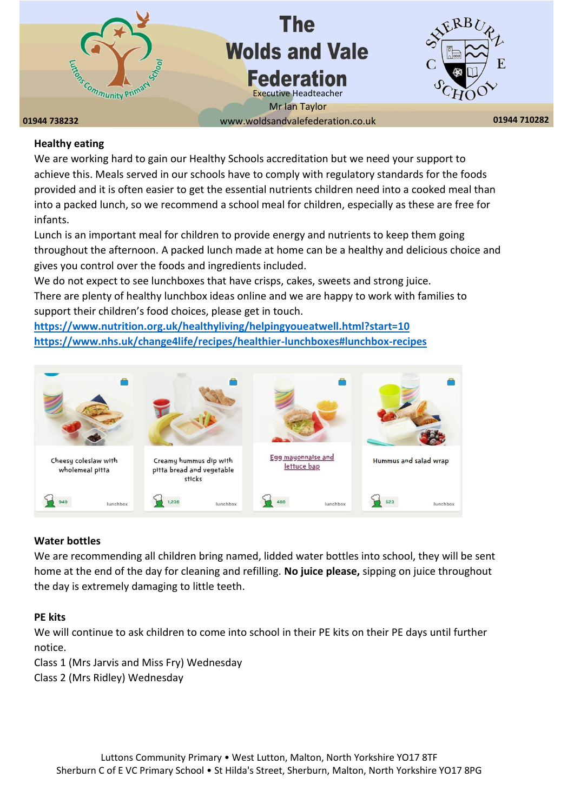

#### **Healthy eating**

We are working hard to gain our Healthy Schools accreditation but we need your support to achieve this. Meals served in our schools have to comply with regulatory standards for the foods provided and it is often easier to get the essential nutrients children need into a cooked meal than into a packed lunch, so we recommend a school meal for children, especially as these are free for infants.

Lunch is an important meal for children to provide energy and nutrients to keep them going throughout the afternoon. A packed lunch made at home can be a healthy and delicious choice and gives you control over the foods and ingredients included.

We do not expect to see lunchboxes that have crisps, cakes, sweets and strong juice. There are plenty of healthy lunchbox ideas online and we are happy to work with families to support their children's food choices, please get in touch.

**<https://www.nutrition.org.uk/healthyliving/helpingyoueatwell.html?start=10> <https://www.nhs.uk/change4life/recipes/healthier-lunchboxes#lunchbox-recipes>**



#### **Water bottles**

We are recommending all children bring named, lidded water bottles into school, they will be sent home at the end of the day for cleaning and refilling. **No juice please,** sipping on juice throughout the day is extremely damaging to little teeth.

#### **PE kits**

We will continue to ask children to come into school in their PE kits on their PE days until further notice.

Class 1 (Mrs Jarvis and Miss Fry) Wednesday

Class 2 (Mrs Ridley) Wednesday